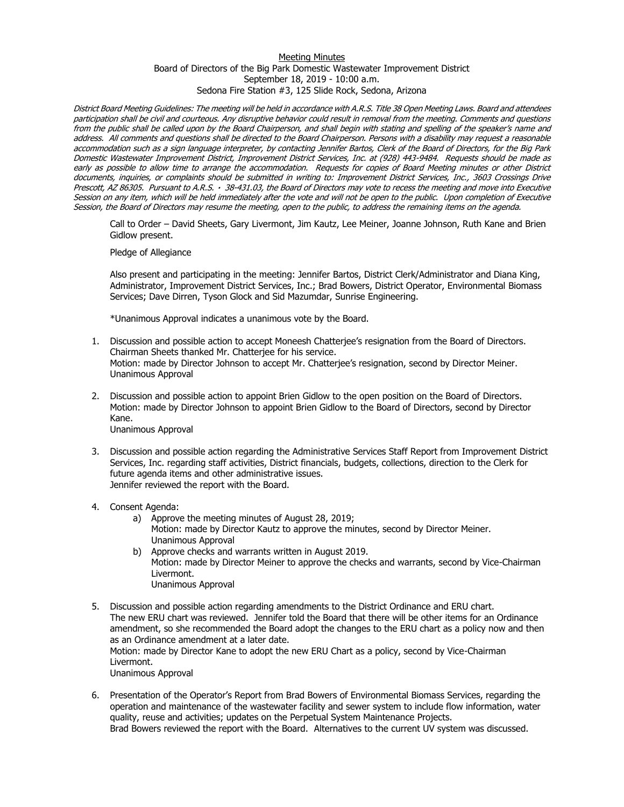## Meeting Minutes Board of Directors of the Big Park Domestic Wastewater Improvement District September 18, 2019 - 10:00 a.m. Sedona Fire Station #3, 125 Slide Rock, Sedona, Arizona

District Board Meeting Guidelines: The meeting will be held in accordance with A.R.S. Title 38 Open Meeting Laws. Board and attendees participation shall be civil and courteous. Any disruptive behavior could result in removal from the meeting. Comments and questions from the public shall be called upon by the Board Chairperson, and shall begin with stating and spelling of the speaker's name and address. All comments and questions shall be directed to the Board Chairperson. Persons with a disability may request a reasonable accommodation such as a sign language interpreter, by contacting Jennifer Bartos, Clerk of the Board of Directors, for the Big Park Domestic Wastewater Improvement District, Improvement District Services, Inc. at (928) 443-9484. Requests should be made as early as possible to allow time to arrange the accommodation. Requests for copies of Board Meeting minutes or other District documents, inquiries, or complaints should be submitted in writing to: Improvement District Services, Inc., 3603 Crossings Drive Prescott, AZ 86305. Pursuant to A.R.S. 38-431.03, the Board of Directors may vote to recess the meeting and move into Executive Session on any item, which will be held immediately after the vote and will not be open to the public. Upon completion of Executive Session, the Board of Directors may resume the meeting, open to the public, to address the remaining items on the agenda.

Call to Order – David Sheets, Gary Livermont, Jim Kautz, Lee Meiner, Joanne Johnson, Ruth Kane and Brien Gidlow present.

Pledge of Allegiance

Also present and participating in the meeting: Jennifer Bartos, District Clerk/Administrator and Diana King, Administrator, Improvement District Services, Inc.; Brad Bowers, District Operator, Environmental Biomass Services; Dave Dirren, Tyson Glock and Sid Mazumdar, Sunrise Engineering.

\*Unanimous Approval indicates a unanimous vote by the Board.

- 1. Discussion and possible action to accept Moneesh Chatterjee's resignation from the Board of Directors. Chairman Sheets thanked Mr. Chatterjee for his service. Motion: made by Director Johnson to accept Mr. Chatterjee's resignation, second by Director Meiner. Unanimous Approval
- 2. Discussion and possible action to appoint Brien Gidlow to the open position on the Board of Directors. Motion: made by Director Johnson to appoint Brien Gidlow to the Board of Directors, second by Director Kane. Unanimous Approval
- 3. Discussion and possible action regarding the Administrative Services Staff Report from Improvement District Services, Inc. regarding staff activities, District financials, budgets, collections, direction to the Clerk for future agenda items and other administrative issues. Jennifer reviewed the report with the Board.
- 4. Consent Agenda:
	- a) Approve the meeting minutes of August 28, 2019; Motion: made by Director Kautz to approve the minutes, second by Director Meiner. Unanimous Approval b) Approve checks and warrants written in August 2019.
	- Motion: made by Director Meiner to approve the checks and warrants, second by Vice-Chairman Livermont.
		- Unanimous Approval
- 5. Discussion and possible action regarding amendments to the District Ordinance and ERU chart. The new ERU chart was reviewed. Jennifer told the Board that there will be other items for an Ordinance amendment, so she recommended the Board adopt the changes to the ERU chart as a policy now and then as an Ordinance amendment at a later date. Motion: made by Director Kane to adopt the new ERU Chart as a policy, second by Vice-Chairman Livermont. Unanimous Approval
	-
- 6. Presentation of the Operator's Report from Brad Bowers of Environmental Biomass Services, regarding the operation and maintenance of the wastewater facility and sewer system to include flow information, water quality, reuse and activities; updates on the Perpetual System Maintenance Projects. Brad Bowers reviewed the report with the Board. Alternatives to the current UV system was discussed.